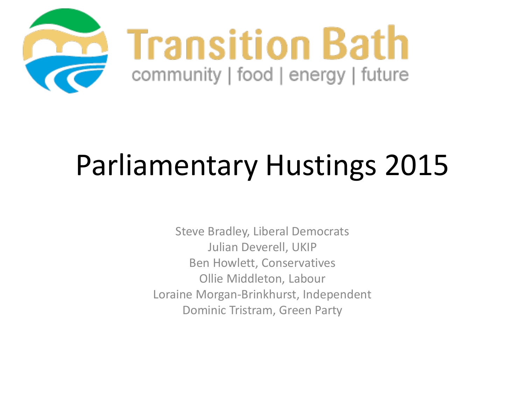

# Parliamentary Hustings 2015

Steve Bradley, Liberal Democrats Julian Deverell, UKIP Ben Howlett, Conservatives Ollie Middleton, Labour Loraine Morgan-Brinkhurst, Independent Dominic Tristram, Green Party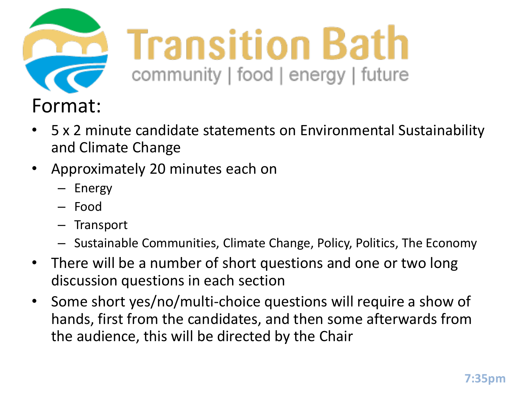

- 5 x 2 minute candidate statements on Environmental Sustainability and Climate Change
- Approximately 20 minutes each on
	- Energy
	- Food
	- Transport
	- Sustainable Communities, Climate Change, Policy, Politics, The Economy
- There will be a number of short questions and one or two long discussion questions in each section
- Some short yes/no/multi-choice questions will require a show of hands, first from the candidates, and then some afterwards from the audience, this will be directed by the Chair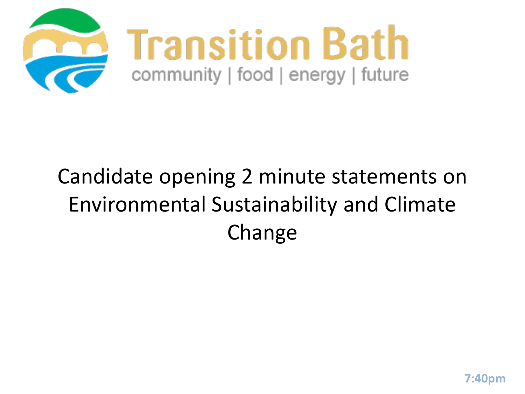

## Candidate opening 2 minute statements on Environmental Sustainability and Climate Change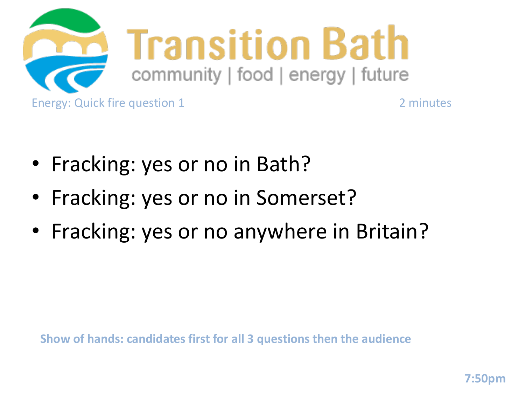

- Fracking: yes or no in Bath?
- Fracking: yes or no in Somerset?
- Fracking: yes or no anywhere in Britain?

**Show of hands: candidates first for all 3 questions then the audience**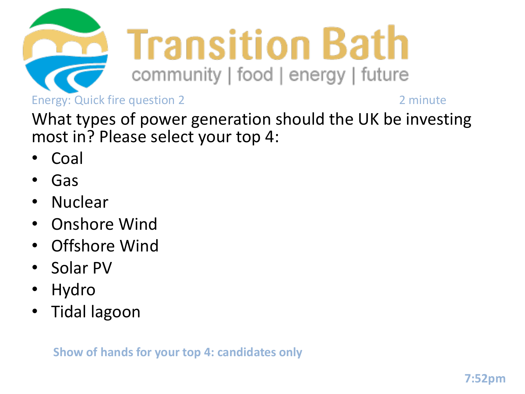

What types of power generation should the UK be investing most in? Please select your top 4:

- Coal
- Gas
- Nuclear
- Onshore Wind
- Offshore Wind
- Solar PV
- Hydro
- Tidal lagoon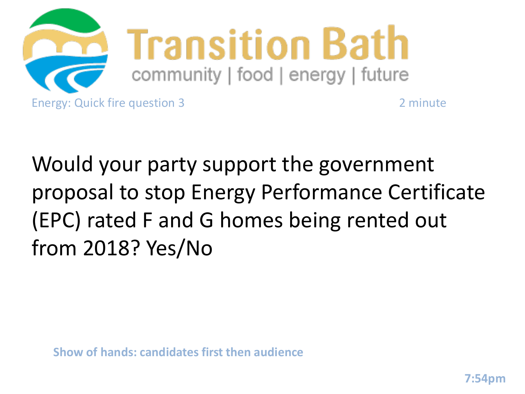

Would your party support the government proposal to stop Energy Performance Certificate (EPC) rated F and G homes being rented out from 2018? Yes/No

**Show of hands: candidates first then audience**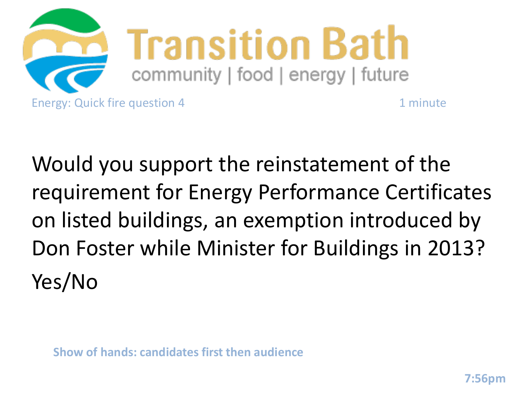

Would you support the reinstatement of the requirement for Energy Performance Certificates on listed buildings, an exemption introduced by Don Foster while Minister for Buildings in 2013? Yes/No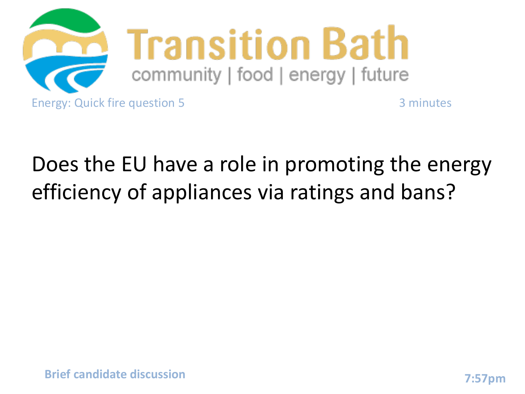

## Does the EU have a role in promoting the energy efficiency of appliances via ratings and bans?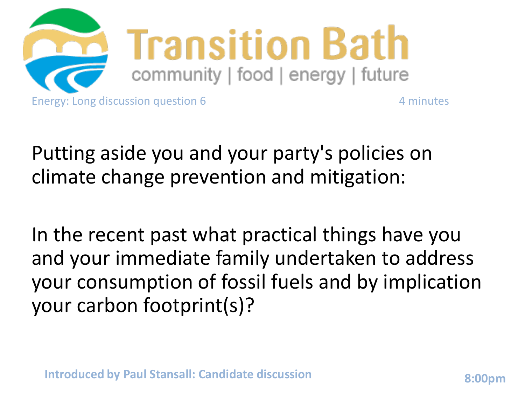

Putting aside you and your party's policies on climate change prevention and mitigation:

In the recent past what practical things have you and your immediate family undertaken to address your consumption of fossil fuels and by implication your carbon footprint(s)?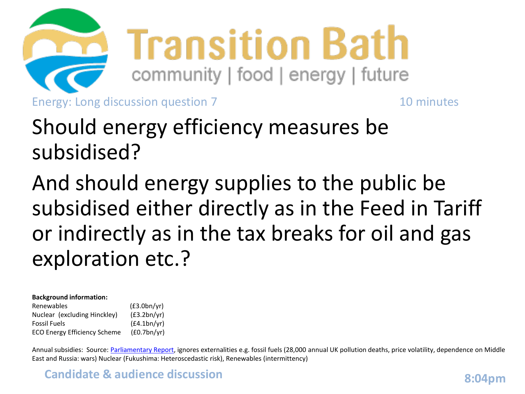

## Should energy efficiency measures be subsidised?

And should energy supplies to the public be subsidised either directly as in the Feed in Tariff or indirectly as in the tax breaks for oil and gas exploration etc.?

#### **Background information:**

Renewables (£3.0bn/yr) Nuclear (excluding Hinckley) (£3.2bn/yr) Fossil Fuels (£4.1bn/yr) ECO Energy Efficiency Scheme (£0.7bn/yr)

Annual subsidies: Source: [Parliamentary Report](http://www.publications.parliament.uk/pa/cm201314/cmselect/cmenvaud/writev/61/energy.pdf), ignores externalities e.g. fossil fuels (28,000 annual UK pollution deaths, price volatility, dependence on Middle East and Russia: wars) Nuclear (Fukushima: Heteroscedastic risk), Renewables (intermittency)

#### **Candidate & audience discussion 8:04pm 8:04pm**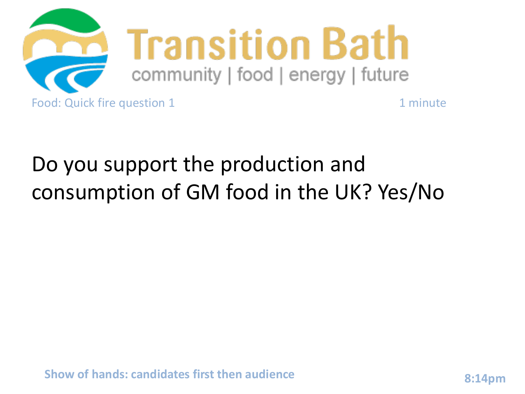

## Do you support the production and consumption of GM food in the UK? Yes/No

**Show of hands: candidates first then audience 8:14pm**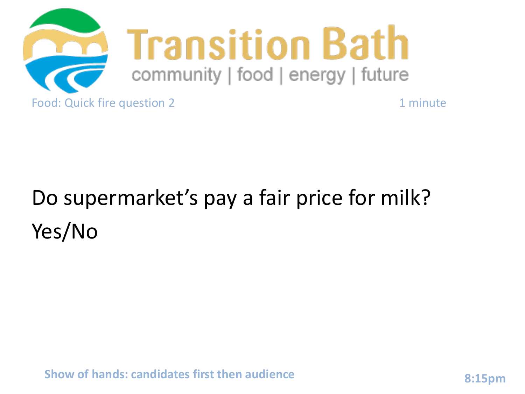

## Do supermarket's pay a fair price for milk? Yes/No

**Show of hands: candidates first then audience 8:15pm**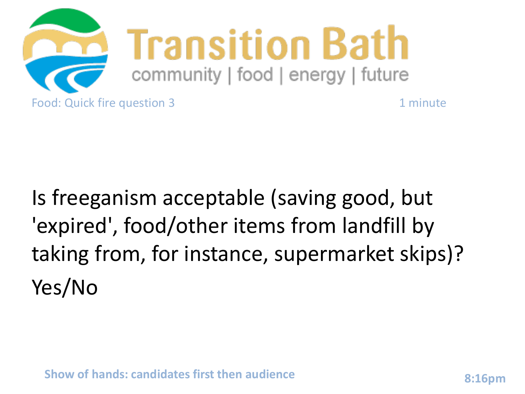

## Is freeganism acceptable (saving good, but 'expired', food/other items from landfill by taking from, for instance, supermarket skips)? Yes/No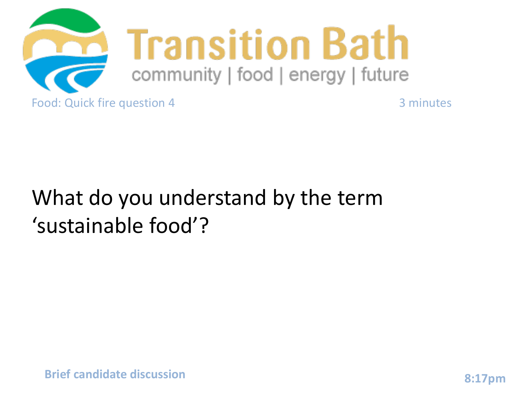

### What do you understand by the term 'sustainable food'?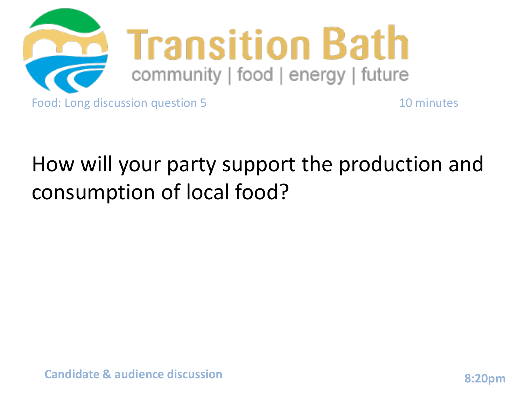

## How will your party support the production and consumption of local food?

**Candidate & audience discussion 8:20pm**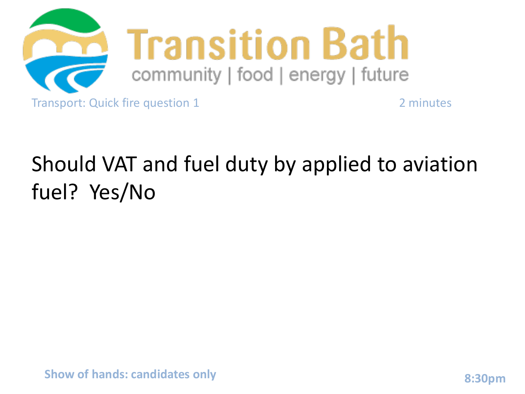

## Should VAT and fuel duty by applied to aviation fuel? Yes/No

**Show of hands: candidates only and all and all and all and all and all and all and all and all and all and all and all and all and all and all and all and all and all and all and all and all and all and all and all and al**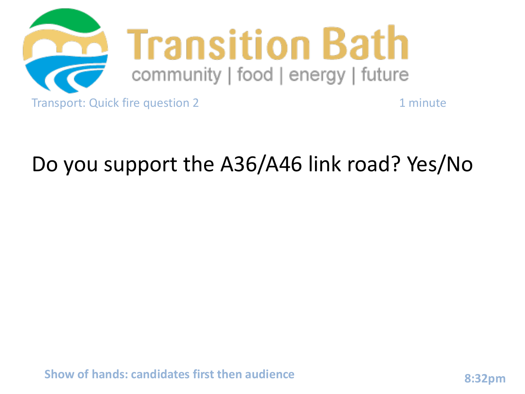

#### Do you support the A36/A46 link road? Yes/No

**Show of hands: candidates first then audience 8:32pm**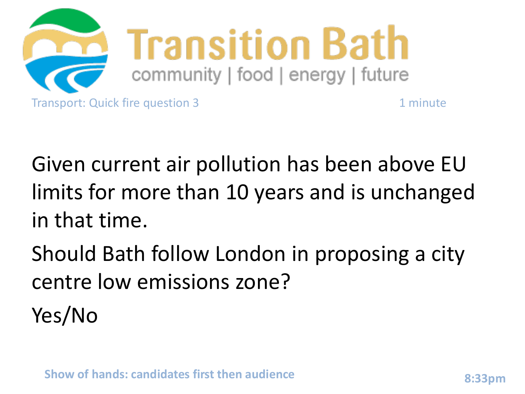

Given current air pollution has been above EU limits for more than 10 years and is unchanged in that time.

Should Bath follow London in proposing a city centre low emissions zone? Yes/No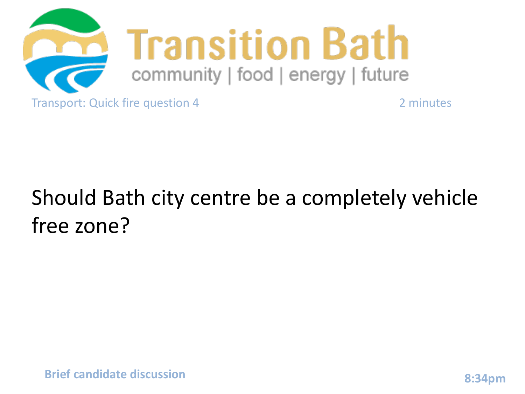

## Should Bath city centre be a completely vehicle free zone?

**Brief candidate discussion 8:34pm**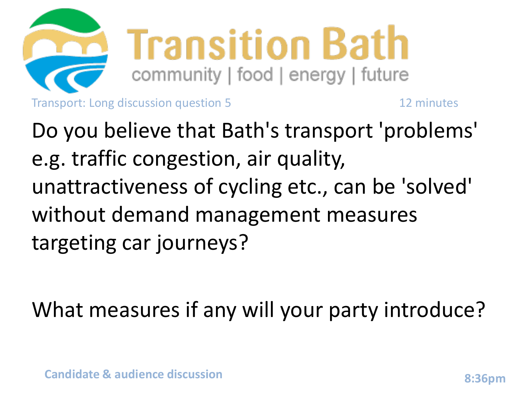

Do you believe that Bath's transport 'problems' e.g. traffic congestion, air quality, unattractiveness of cycling etc., can be 'solved' without demand management measures targeting car journeys?

What measures if any will your party introduce?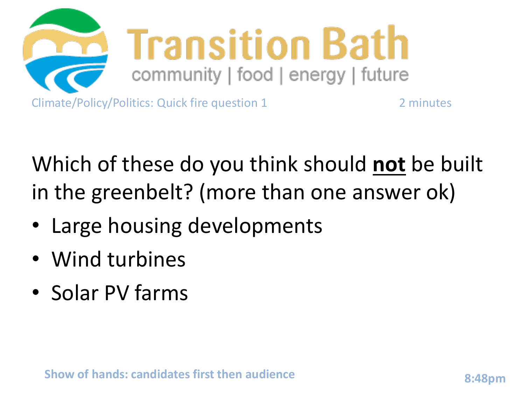

Which of these do you think should **not** be built in the greenbelt? (more than one answer ok)

- Large housing developments
- Wind turbines
- Solar PV farms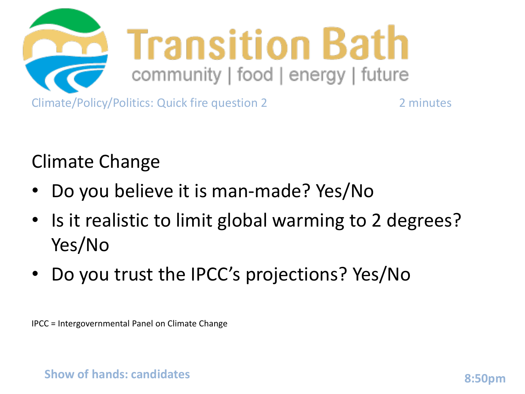

Climate Change

- Do you believe it is man-made? Yes/No
- Is it realistic to limit global warming to 2 degrees? Yes/No
- Do you trust the IPCC's projections? Yes/No

IPCC = Intergovernmental Panel on Climate Change

**Show of hands: candidates 8:50pm**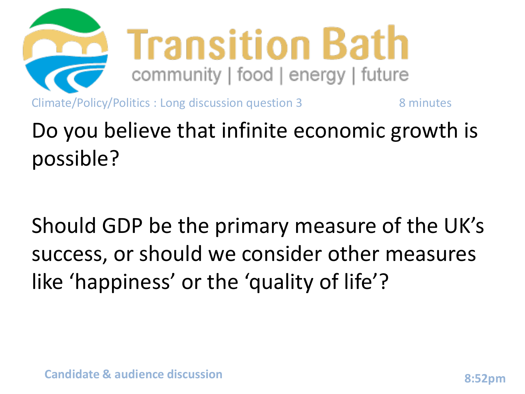

## Do you believe that infinite economic growth is possible?

Should GDP be the primary measure of the UK's success, or should we consider other measures like 'happiness' or the 'quality of life'?

**Candidate & audience discussion 8:52pm**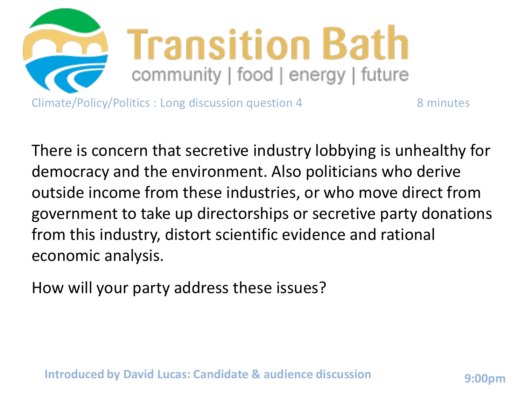

There is concern that secretive industry lobbying is unhealthy for democracy and the environment. Also politicians who derive outside income from these industries, or who move direct from government to take up directorships or secretive party donations from this industry, distort scientific evidence and rational economic analysis.

How will your party address these issues?